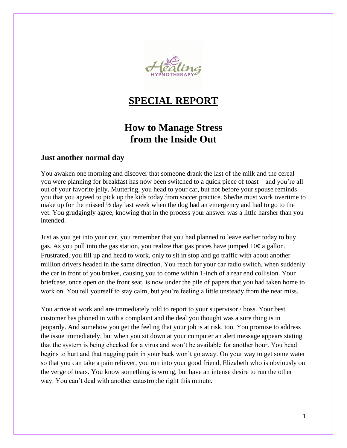

# **SPECIAL REPORT**

# **How to Manage Stress from the Inside Out**

#### **Just another normal day**

You awaken one morning and discover that someone drank the last of the milk and the cereal you were planning for breakfast has now been switched to a quick piece of toast – and you're all out of your favorite jelly. Muttering, you head to your car, but not before your spouse reminds you that you agreed to pick up the kids today from soccer practice. She/he must work overtime to make up for the missed ½ day last week when the dog had an emergency and had to go to the vet. You grudgingly agree, knowing that in the process your answer was a little harsher than you intended.

Just as you get into your car, you remember that you had planned to leave earlier today to buy gas. As you pull into the gas station, you realize that gas prices have jumped 10¢ a gallon. Frustrated, you fill up and head to work, only to sit in stop and go traffic with about another million drivers headed in the same direction. You reach for your car radio switch, when suddenly the car in front of you brakes, causing you to come within 1-inch of a rear end collision. Your briefcase, once open on the front seat, is now under the pile of papers that you had taken home to work on. You tell yourself to stay calm, but you're feeling a little unsteady from the near miss.

You arrive at work and are immediately told to report to your supervisor / boss. Your best customer has phoned in with a complaint and the deal you thought was a sure thing is in jeopardy. And somehow you get the feeling that your job is at risk, too. You promise to address the issue immediately, but when you sit down at your computer an alert message appears stating that the system is being checked for a virus and won't be available for another hour. You head begins to hurt and that nagging pain in your back won't go away. On your way to get some water so that you can take a pain reliever, you run into your good friend, Elizabeth who is obviously on the verge of tears. You know something is wrong, but have an intense desire to run the other way. You can't deal with another catastrophe right this minute.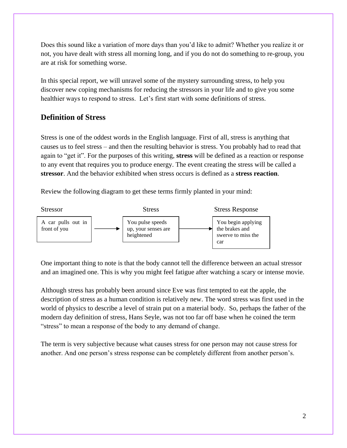Does this sound like a variation of more days than you'd like to admit? Whether you realize it or not, you have dealt with stress all morning long, and if you do not do something to re-group, you are at risk for something worse.

In this special report, we will unravel some of the mystery surrounding stress, to help you discover new coping mechanisms for reducing the stressors in your life and to give you some healthier ways to respond to stress. Let's first start with some definitions of stress.

### **Definition of Stress**

Stress is one of the oddest words in the English language. First of all, stress is anything that causes us to feel stress – and then the resulting behavior is stress. You probably had to read that again to "get it". For the purposes of this writing, **stress** will be defined as a reaction or response to any event that requires you to produce energy. The event creating the stress will be called a **stressor**. And the behavior exhibited when stress occurs is defined as a **stress reaction**.

Review the following diagram to get these terms firmly planted in your mind:



One important thing to note is that the body cannot tell the difference between an actual stressor and an imagined one. This is why you might feel fatigue after watching a scary or intense movie.

Although stress has probably been around since Eve was first tempted to eat the apple, the description of stress as a human condition is relatively new. The word stress was first used in the world of physics to describe a level of strain put on a material body. So, perhaps the father of the modern day definition of stress, Hans Seyle, was not too far off base when he coined the term "stress" to mean a response of the body to any demand of change.

The term is very subjective because what causes stress for one person may not cause stress for another. And one person's stress response can be completely different from another person's.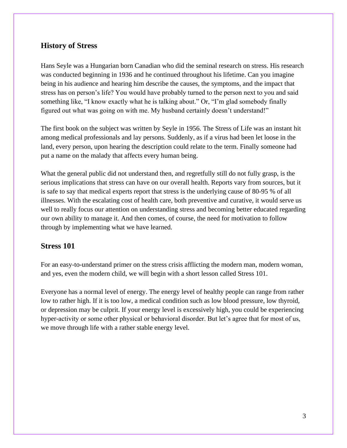### **History of Stress**

Hans Seyle was a Hungarian born Canadian who did the seminal research on stress. His research was conducted beginning in 1936 and he continued throughout his lifetime. Can you imagine being in his audience and hearing him describe the causes, the symptoms, and the impact that stress has on person's life? You would have probably turned to the person next to you and said something like, "I know exactly what he is talking about." Or, "I'm glad somebody finally figured out what was going on with me. My husband certainly doesn't understand!"

The first book on the subject was written by Seyle in 1956. The Stress of Life was an instant hit among medical professionals and lay persons. Suddenly, as if a virus had been let loose in the land, every person, upon hearing the description could relate to the term. Finally someone had put a name on the malady that affects every human being.

What the general public did not understand then, and regretfully still do not fully grasp, is the serious implications that stress can have on our overall health. Reports vary from sources, but it is safe to say that medical experts report that stress is the underlying cause of 80-95 % of all illnesses. With the escalating cost of health care, both preventive and curative, it would serve us well to really focus our attention on understanding stress and becoming better educated regarding our own ability to manage it. And then comes, of course, the need for motivation to follow through by implementing what we have learned.

#### **Stress 101**

For an easy-to-understand primer on the stress crisis afflicting the modern man, modern woman, and yes, even the modern child, we will begin with a short lesson called Stress 101.

Everyone has a normal level of energy. The energy level of healthy people can range from rather low to rather high. If it is too low, a medical condition such as low blood pressure, low thyroid, or depression may be culprit. If your energy level is excessively high, you could be experiencing hyper-activity or some other physical or behavioral disorder. But let's agree that for most of us, we move through life with a rather stable energy level.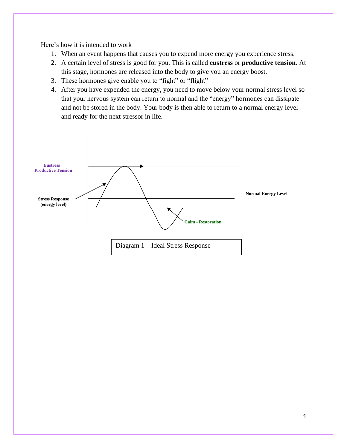Here's how it is intended to work

- 1. When an event happens that causes you to expend more energy you experience stress.
- 2. A certain level of stress is good for you. This is called **eustress** or **productive tension.** At this stage, hormones are released into the body to give you an energy boost.
- 3. These hormones give enable you to "fight" or "flight"
- 4. After you have expended the energy, you need to move below your normal stress level so that your nervous system can return to normal and the "energy" hormones can dissipate and not be stored in the body. Your body is then able to return to a normal energy level and ready for the next stressor in life.

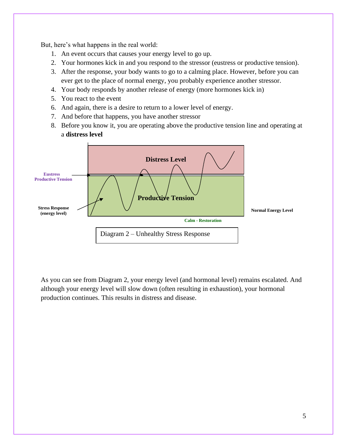But, here's what happens in the real world:

- 1. An event occurs that causes your energy level to go up.
- 2. Your hormones kick in and you respond to the stressor (eustress or productive tension).
- 3. After the response, your body wants to go to a calming place. However, before you can ever get to the place of normal energy, you probably experience another stressor.
- 4. Your body responds by another release of energy (more hormones kick in)
- 5. You react to the event
- 6. And again, there is a desire to return to a lower level of energy.
- 7. And before that happens, you have another stressor
- 8. Before you know it, you are operating above the productive tension line and operating at a **distress level**



As you can see from Diagram 2, your energy level (and hormonal level) remains escalated. And although your energy level will slow down (often resulting in exhaustion), your hormonal production continues. This results in distress and disease.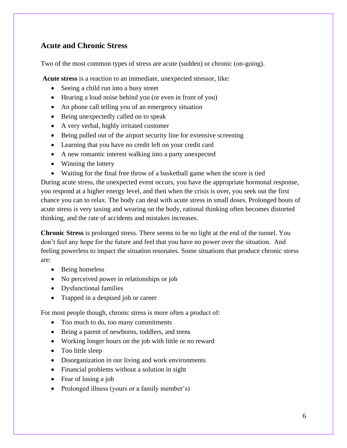## **Acute and Chronic Stress**

Two of the most common types of stress are acute (sudden) or chronic (on-going).

**Acute stress** is a reaction to an immediate, unexpected stressor, like:

- Seeing a child run into a busy street
- Hearing a loud noise behind you (or even in front of you)
- An phone call telling you of an emergency situation
- Being unexpectedly called on to speak
- A very verbal, highly irritated customer
- Being pulled out of the airport security line for extensive screening
- Learning that you have no credit left on your credit card
- A new romantic interest walking into a party unexpected
- Winning the lottery
- Waiting for the final free throw of a basketball game when the score is tied

During acute stress, the unexpected event occurs, you have the appropriate hormonal response, you respond at a higher energy level, and then when the crisis is over, you seek out the first chance you can to relax. The body can deal with acute stress in small doses. Prolonged bouts of acute stress is very taxing and wearing on the body, rational thinking often becomes distorted thinking, and the rate of accidents and mistakes increases.

**Chronic Stress** is prolonged stress. There seems to be no light at the end of the tunnel. You don't feel any hope for the future and feel that you have no power over the situation. And feeling powerless to impact the situation resonates. Some situations that produce chronic stress are:

- Being homeless
- No perceived power in relationships or job
- Dysfunctional families
- Trapped in a despised job or career

For most people though, chronic stress is more often a product of:

- Too much to do, too many commitments
- Being a parent of newborns, toddlers, and teens
- Working longer hours on the job with little or no reward
- Too little sleep
- Disorganization in our living and work environments
- Financial problems without a solution in sight
- Fear of losing a job
- Prolonged illness (yours or a family member's)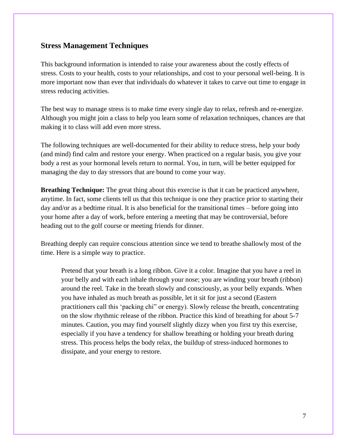#### **Stress Management Techniques**

This background information is intended to raise your awareness about the costly effects of stress. Costs to your health, costs to your relationships, and cost to your personal well-being. It is more important now than ever that individuals do whatever it takes to carve out time to engage in stress reducing activities.

The best way to manage stress is to make time every single day to relax, refresh and re-energize. Although you might join a class to help you learn some of relaxation techniques, chances are that making it to class will add even more stress.

The following techniques are well-documented for their ability to reduce stress, help your body (and mind) find calm and restore your energy. When practiced on a regular basis, you give your body a rest as your hormonal levels return to normal. You, in turn, will be better equipped for managing the day to day stressors that are bound to come your way.

**Breathing Technique:** The great thing about this exercise is that it can be practiced anywhere, anytime. In fact, some clients tell us that this technique is one they practice prior to starting their day and/or as a bedtime ritual. It is also beneficial for the transitional times – before going into your home after a day of work, before entering a meeting that may be controversial, before heading out to the golf course or meeting friends for dinner.

Breathing deeply can require conscious attention since we tend to breathe shallowly most of the time. Here is a simple way to practice.

Pretend that your breath is a long ribbon. Give it a color. Imagine that you have a reel in your belly and with each inhale through your nose; you are winding your breath (ribbon) around the reel. Take in the breath slowly and consciously, as your belly expands. When you have inhaled as much breath as possible, let it sit for just a second (Eastern practitioners call this 'packing chi" or energy). Slowly release the breath, concentrating on the slow rhythmic release of the ribbon. Practice this kind of breathing for about 5-7 minutes. Caution, you may find yourself slightly dizzy when you first try this exercise, especially if you have a tendency for shallow breathing or holding your breath during stress. This process helps the body relax, the buildup of stress-induced hormones to dissipate, and your energy to restore.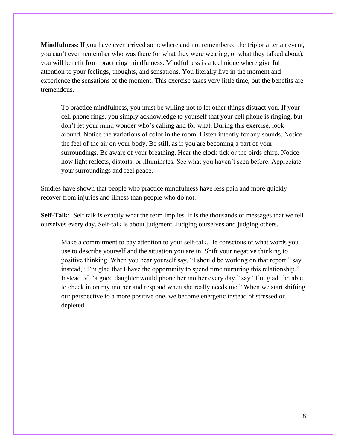**Mindfulness**: If you have ever arrived somewhere and not remembered the trip or after an event, you can't even remember who was there (or what they were wearing, or what they talked about), you will benefit from practicing mindfulness. Mindfulness is a technique where give full attention to your feelings, thoughts, and sensations. You literally live in the moment and experience the sensations of the moment. This exercise takes very little time, but the benefits are tremendous.

To practice mindfulness, you must be willing not to let other things distract you. If your cell phone rings, you simply acknowledge to yourself that your cell phone is ringing, but don't let your mind wonder who's calling and for what. During this exercise, look around. Notice the variations of color in the room. Listen intently for any sounds. Notice the feel of the air on your body. Be still, as if you are becoming a part of your surroundings. Be aware of your breathing. Hear the clock tick or the birds chirp. Notice how light reflects, distorts, or illuminates. See what you haven't seen before. Appreciate your surroundings and feel peace.

Studies have shown that people who practice mindfulness have less pain and more quickly recover from injuries and illness than people who do not.

**Self-Talk:** Self talk is exactly what the term implies. It is the thousands of messages that we tell ourselves every day. Self-talk is about judgment. Judging ourselves and judging others.

Make a commitment to pay attention to your self-talk. Be conscious of what words you use to describe yourself and the situation you are in. Shift your negative thinking to positive thinking. When you hear yourself say, "I should be working on that report," say instead, "I'm glad that I have the opportunity to spend time nurturing this relationship." Instead of, "a good daughter would phone her mother every day," say "I'm glad I'm able to check in on my mother and respond when she really needs me." When we start shifting our perspective to a more positive one, we become energetic instead of stressed or depleted.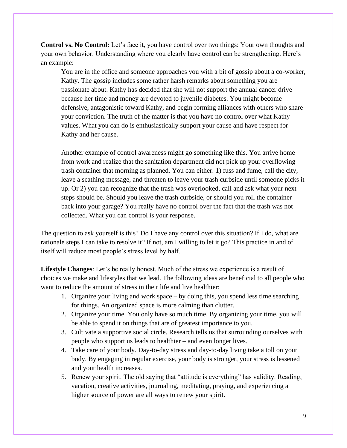**Control vs. No Control:** Let's face it, you have control over two things: Your own thoughts and your own behavior. Understanding where you clearly have control can be strengthening. Here's an example:

You are in the office and someone approaches you with a bit of gossip about a co-worker, Kathy. The gossip includes some rather harsh remarks about something you are passionate about. Kathy has decided that she will not support the annual cancer drive because her time and money are devoted to juvenile diabetes. You might become defensive, antagonistic toward Kathy, and begin forming alliances with others who share your conviction. The truth of the matter is that you have no control over what Kathy values. What you can do is enthusiastically support your cause and have respect for Kathy and her cause.

Another example of control awareness might go something like this. You arrive home from work and realize that the sanitation department did not pick up your overflowing trash container that morning as planned. You can either: 1) fuss and fume, call the city, leave a scathing message, and threaten to leave your trash curbside until someone picks it up. Or 2) you can recognize that the trash was overlooked, call and ask what your next steps should be. Should you leave the trash curbside, or should you roll the container back into your garage? You really have no control over the fact that the trash was not collected. What you can control is your response.

The question to ask yourself is this? Do I have any control over this situation? If I do, what are rationale steps I can take to resolve it? If not, am I willing to let it go? This practice in and of itself will reduce most people's stress level by half.

**Lifestyle Changes**: Let's be really honest. Much of the stress we experience is a result of choices we make and lifestyles that we lead. The following ideas are beneficial to all people who want to reduce the amount of stress in their life and live healthier:

- 1. Organize your living and work space by doing this, you spend less time searching for things. An organized space is more calming than clutter.
- 2. Organize your time. You only have so much time. By organizing your time, you will be able to spend it on things that are of greatest importance to you.
- 3. Cultivate a supportive social circle. Research tells us that surrounding ourselves with people who support us leads to healthier – and even longer lives.
- 4. Take care of your body. Day-to-day stress and day-to-day living take a toll on your body. By engaging in regular exercise, your body is stronger, your stress is lessened and your health increases.
- 5. Renew your spirit. The old saying that "attitude is everything" has validity. Reading, vacation, creative activities, journaling, meditating, praying, and experiencing a higher source of power are all ways to renew your spirit.